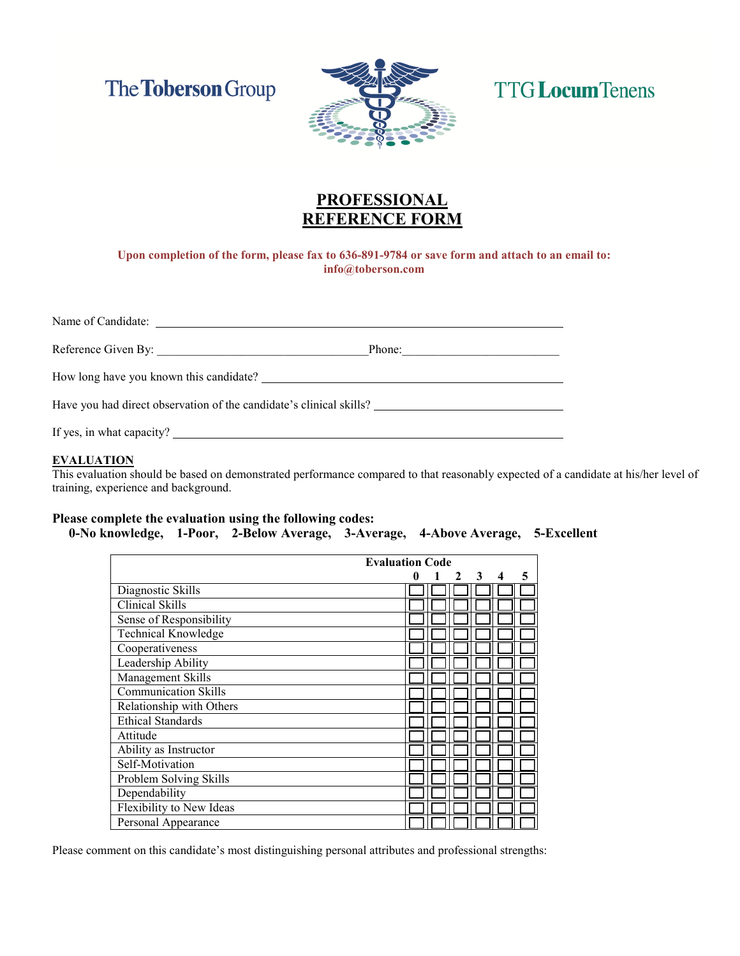The **Toberson** Group



# **TTG Locum Tenens**

## **PROFESSIOAL REFERENCE FORM**

 **Upon completion of the form, please fax to 636-891-9784 or save form and attach to an email to: info@toberson.com** 

Name of Candidate: Reference Given By: \_\_\_\_\_\_\_\_\_\_\_\_\_\_\_\_\_\_\_\_\_\_\_\_\_\_\_\_\_\_\_\_\_\_\_Phone:\_\_\_\_\_\_\_\_\_\_\_\_\_\_\_\_\_\_\_\_\_\_\_\_\_\_ How long have you known this candidate? Have you had direct observation of the candidate's clinical skills?

If yes, in what capacity?

#### **EVALUATIO**

This evaluation should be based on demonstrated performance compared to that reasonably expected of a candidate at his/her level of training, experience and background.

### **Please complete the evaluation using the following codes:**  0-No knowledge, 1-Poor, 2-Below Average, 3-Average, 4-Above Average, 5-Excellent

|                             | <b>Evaluation Code</b>  |   |  |
|-----------------------------|-------------------------|---|--|
|                             | 3<br>0<br>$\mathcal{P}$ | 5 |  |
| Diagnostic Skills           |                         |   |  |
| Clinical Skills             |                         |   |  |
| Sense of Responsibility     |                         |   |  |
| <b>Technical Knowledge</b>  |                         |   |  |
| Cooperativeness             |                         |   |  |
| Leadership Ability          |                         |   |  |
| Management Skills           |                         |   |  |
| <b>Communication Skills</b> |                         |   |  |
| Relationship with Others    |                         |   |  |
| <b>Ethical Standards</b>    |                         |   |  |
| Attitude                    |                         |   |  |
| Ability as Instructor       |                         |   |  |
| Self-Motivation             |                         |   |  |
| Problem Solving Skills      |                         |   |  |
| Dependability               |                         |   |  |
| Flexibility to New Ideas    |                         |   |  |
| Personal Appearance         |                         |   |  |

Please comment on this candidate's most distinguishing personal attributes and professional strengths: